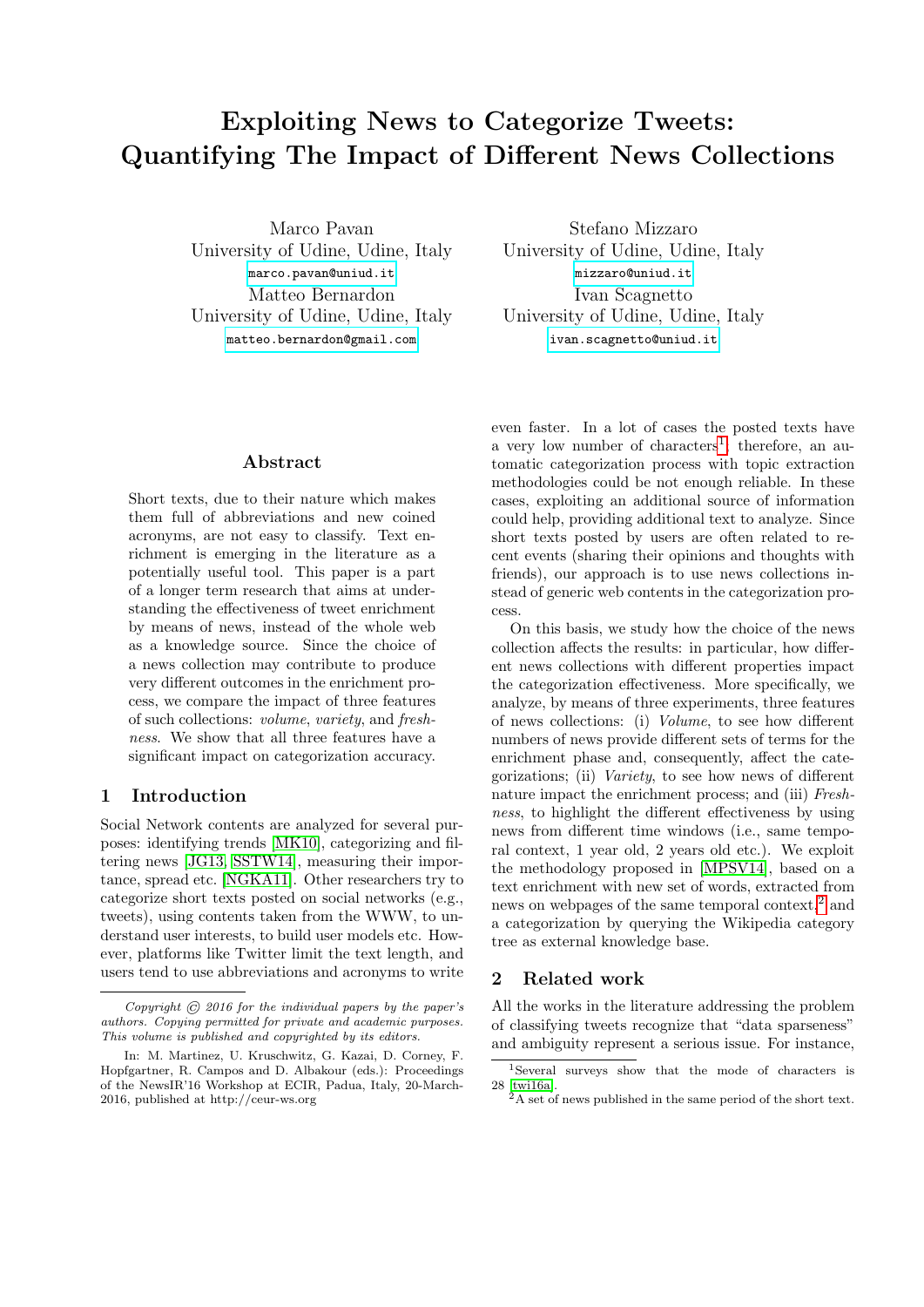# Exploiting News to Categorize Tweets: Quantifying The Impact of Different News Collections

Marco Pavan University of Udine, Udine, Italy <marco.pavan@uniud.it> Matteo Bernardon University of Udine, Udine, Italy <matteo.bernardon@gmail.com>

Stefano Mizzaro University of Udine, Udine, Italy <mizzaro@uniud.it> Ivan Scagnetto University of Udine, Udine, Italy <ivan.scagnetto@uniud.it>

# Abstract

Short texts, due to their nature which makes them full of abbreviations and new coined acronyms, are not easy to classify. Text enrichment is emerging in the literature as a potentially useful tool. This paper is a part of a longer term research that aims at understanding the effectiveness of tweet enrichment by means of news, instead of the whole web as a knowledge source. Since the choice of a news collection may contribute to produce very different outcomes in the enrichment process, we compare the impact of three features of such collections: volume, variety, and freshness. We show that all three features have a significant impact on categorization accuracy.

## 1 Introduction

Social Network contents are analyzed for several purposes: identifying trends [\[MK10\]](#page-5-0), categorizing and filtering news [\[JG13,](#page-5-1) [SSTW14\]](#page-5-2), measuring their importance, spread etc. [\[NGKA11\]](#page-5-3). Other researchers try to categorize short texts posted on social networks (e.g., tweets), using contents taken from the WWW, to understand user interests, to build user models etc. However, platforms like Twitter limit the text length, and users tend to use abbreviations and acronyms to write

even faster. In a lot of cases the posted texts have a very low number of characters<sup>[1](#page-0-0)</sup>; therefore, an automatic categorization process with topic extraction methodologies could be not enough reliable. In these cases, exploiting an additional source of information could help, providing additional text to analyze. Since short texts posted by users are often related to recent events (sharing their opinions and thoughts with friends), our approach is to use news collections instead of generic web contents in the categorization process.

On this basis, we study how the choice of the news collection affects the results: in particular, how different news collections with different properties impact the categorization effectiveness. More specifically, we analyze, by means of three experiments, three features of news collections: (i) Volume, to see how different numbers of news provide different sets of terms for the enrichment phase and, consequently, affect the categorizations; (ii) Variety, to see how news of different nature impact the enrichment process; and (iii) Freshness, to highlight the different effectiveness by using news from different time windows (i.e., same temporal context, 1 year old, 2 years old etc.). We exploit the methodology proposed in [\[MPSV14\]](#page-5-4), based on a text enrichment with new set of words, extracted from news on webpages of the same temporal context, $^2$  $^2$  and a categorization by querying the Wikipedia category tree as external knowledge base.

# 2 Related work

All the works in the literature addressing the problem of classifying tweets recognize that "data sparseness" and ambiguity represent a serious issue. For instance,

Copyright  $\odot$  2016 for the individual papers by the paper's authors. Copying permitted for private and academic purposes. This volume is published and copyrighted by its editors.

In: M. Martinez, U. Kruschwitz, G. Kazai, D. Corney, F. Hopfgartner, R. Campos and D. Albakour (eds.): Proceedings of the NewsIR'16 Workshop at ECIR, Padua, Italy, 20-March-2016, published at http://ceur-ws.org

<span id="page-0-0"></span><sup>1</sup>Several surveys show that the mode of characters is 28 [\[twi16a\]](#page-5-5).

<span id="page-0-1"></span> $^{2}$ A set of news published in the same period of the short text.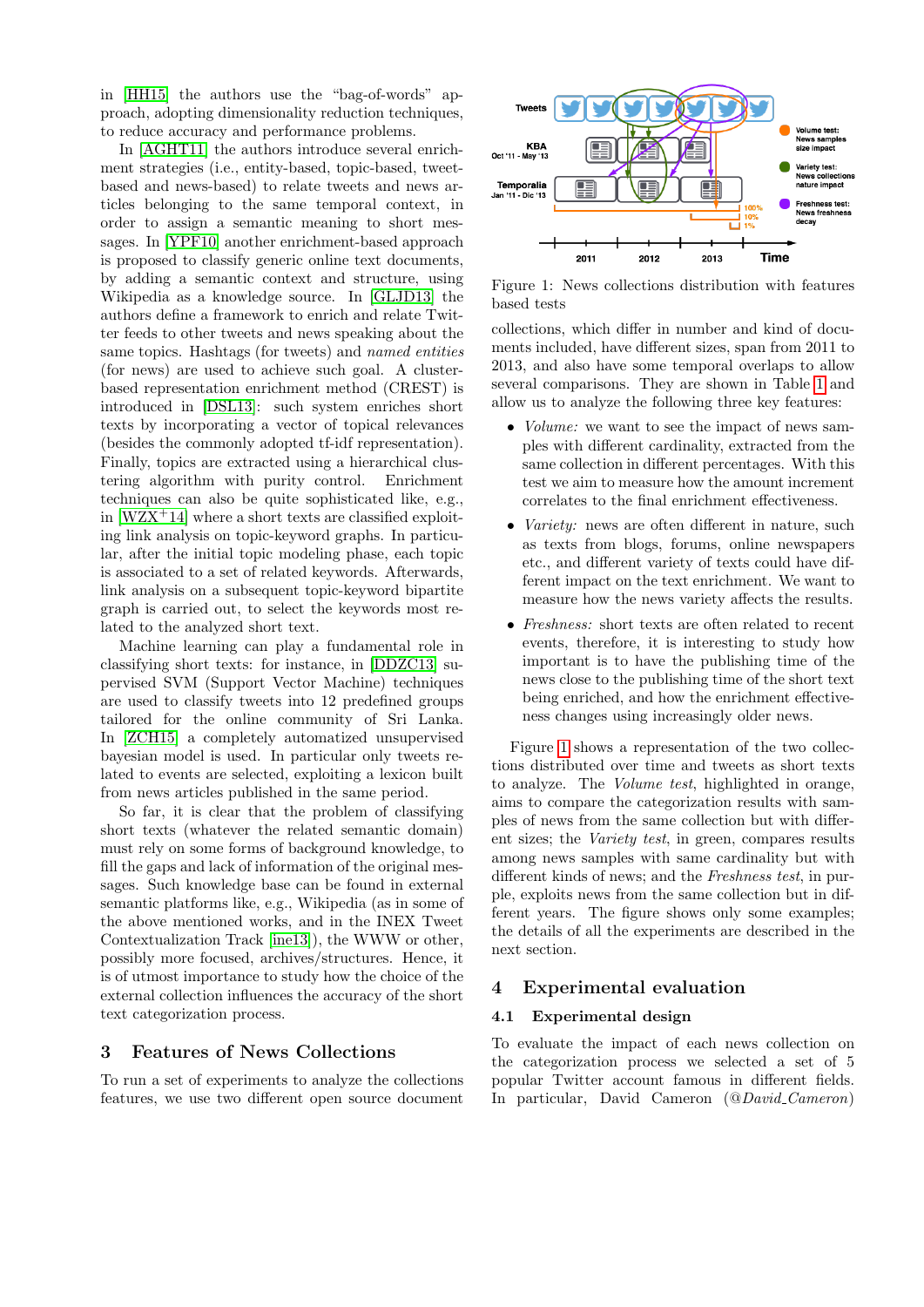in [\[HH15\]](#page-5-6) the authors use the "bag-of-words" approach, adopting dimensionality reduction techniques, to reduce accuracy and performance problems.

In [\[AGHT11\]](#page-5-7) the authors introduce several enrichment strategies (i.e., entity-based, topic-based, tweetbased and news-based) to relate tweets and news articles belonging to the same temporal context, in order to assign a semantic meaning to short messages. In [\[YPF10\]](#page-5-8) another enrichment-based approach is proposed to classify generic online text documents, by adding a semantic context and structure, using Wikipedia as a knowledge source. In [\[GLJD13\]](#page-5-9) the authors define a framework to enrich and relate Twitter feeds to other tweets and news speaking about the same topics. Hashtags (for tweets) and named entities (for news) are used to achieve such goal. A clusterbased representation enrichment method (CREST) is introduced in [\[DSL13\]](#page-5-10): such system enriches short texts by incorporating a vector of topical relevances (besides the commonly adopted tf-idf representation). Finally, topics are extracted using a hierarchical clustering algorithm with purity control. Enrichment techniques can also be quite sophisticated like, e.g., in  $[WZX^+14]$  $[WZX^+14]$  where a short texts are classified exploiting link analysis on topic-keyword graphs. In particular, after the initial topic modeling phase, each topic is associated to a set of related keywords. Afterwards, link analysis on a subsequent topic-keyword bipartite graph is carried out, to select the keywords most related to the analyzed short text.

Machine learning can play a fundamental role in classifying short texts: for instance, in [\[DDZC13\]](#page-5-12) supervised SVM (Support Vector Machine) techniques are used to classify tweets into 12 predefined groups tailored for the online community of Sri Lanka. In [\[ZCH15\]](#page-5-13) a completely automatized unsupervised bayesian model is used. In particular only tweets related to events are selected, exploiting a lexicon built from news articles published in the same period.

So far, it is clear that the problem of classifying short texts (whatever the related semantic domain) must rely on some forms of background knowledge, to fill the gaps and lack of information of the original messages. Such knowledge base can be found in external semantic platforms like, e.g., Wikipedia (as in some of the above mentioned works, and in the INEX Tweet Contextualization Track [\[ine13\]](#page-5-14)), the WWW or other, possibly more focused, archives/structures. Hence, it is of utmost importance to study how the choice of the external collection influences the accuracy of the short text categorization process.

# 3 Features of News Collections

To run a set of experiments to analyze the collections features, we use two different open source document



<span id="page-1-0"></span>Figure 1: News collections distribution with features based tests

collections, which differ in number and kind of documents included, have different sizes, span from 2011 to 2013, and also have some temporal overlaps to allow several comparisons. They are shown in Table [1](#page-2-0) and allow us to analyze the following three key features:

- *Volume:* we want to see the impact of news samples with different cardinality, extracted from the same collection in different percentages. With this test we aim to measure how the amount increment correlates to the final enrichment effectiveness.
- *Variety:* news are often different in nature, such as texts from blogs, forums, online newspapers etc., and different variety of texts could have different impact on the text enrichment. We want to measure how the news variety affects the results.
- Freshness: short texts are often related to recent events, therefore, it is interesting to study how important is to have the publishing time of the news close to the publishing time of the short text being enriched, and how the enrichment effectiveness changes using increasingly older news.

Figure [1](#page-1-0) shows a representation of the two collections distributed over time and tweets as short texts to analyze. The Volume test, highlighted in orange, aims to compare the categorization results with samples of news from the same collection but with different sizes; the Variety test, in green, compares results among news samples with same cardinality but with different kinds of news; and the Freshness test, in purple, exploits news from the same collection but in different years. The figure shows only some examples; the details of all the experiments are described in the next section.

# 4 Experimental evaluation

# <span id="page-1-1"></span>4.1 Experimental design

To evaluate the impact of each news collection on the categorization process we selected a set of 5 popular Twitter account famous in different fields. In particular, David Cameron (@David Cameron)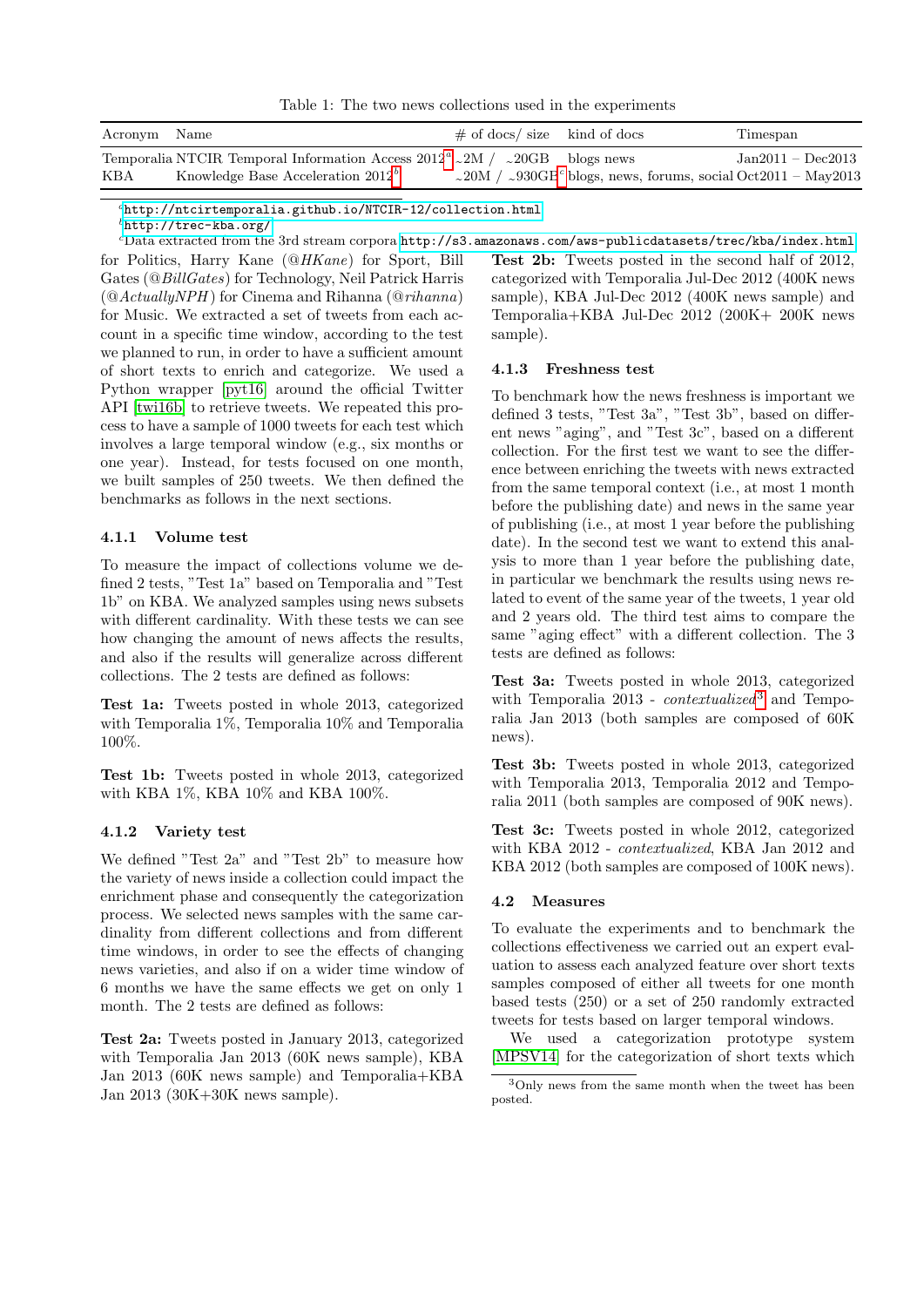<span id="page-2-0"></span>Table 1: The two news collections used in the experiments

| Acronym Name |                                                                                               | $\#$ of docs/size kind of docs | Timespan                                                                               |
|--------------|-----------------------------------------------------------------------------------------------|--------------------------------|----------------------------------------------------------------------------------------|
|              | Temporalia NTCIR Temporal Information Access $2012^a$ $\sim$ 2M $\ell$ $\sim$ 20GB blogs news |                                | $Jan2011 - Dec2013$                                                                    |
| KBA          | Knowledge Base Acceleration $2012b$                                                           |                                | $\sim 20$ M / $\sim 930$ GB <sup>c</sup> blogs, news, forums, social Oct2011 – May2013 |

<span id="page-2-1"></span><sup>a</sup><http://ntcirtemporalia.github.io/NTCIR-12/collection.html>

<span id="page-2-3"></span><span id="page-2-2"></span> $^{b}$ <http://trec-kba.org/>

 $c$ Data extracted from the 3rd stream corpora  ${\tt http://s3.amazonaws.com/aws-publicdatasets/trec/kba/index.html}$  ${\tt http://s3.amazonaws.com/aws-publicdatasets/trec/kba/index.html}$  ${\tt http://s3.amazonaws.com/aws-publicdatasets/trec/kba/index.html}$ for Politics, Harry Kane (@HKane) for Sport, Bill Gates (@BillGates) for Technology, Neil Patrick Harris  $(QActually NPH)$  for Cinema and Rihanna  $(Qrihanna)$ for Music. We extracted a set of tweets from each account in a specific time window, according to the test we planned to run, in order to have a sufficient amount of short texts to enrich and categorize. We used a Python wrapper [\[pyt16\]](#page-5-15) around the official Twitter API [\[twi16b\]](#page-5-16) to retrieve tweets. We repeated this process to have a sample of 1000 tweets for each test which involves a large temporal window (e.g., six months or one year). Instead, for tests focused on one month, we built samples of 250 tweets. We then defined the benchmarks as follows in the next sections.

## 4.1.1 Volume test

To measure the impact of collections volume we defined 2 tests, "Test 1a" based on Temporalia and "Test 1b" on KBA. We analyzed samples using news subsets with different cardinality. With these tests we can see how changing the amount of news affects the results, and also if the results will generalize across different collections. The 2 tests are defined as follows:

Test 1a: Tweets posted in whole 2013, categorized with Temporalia 1%, Temporalia 10% and Temporalia 100%.

Test 1b: Tweets posted in whole 2013, categorized with KBA 1%, KBA 10% and KBA 100%.

#### 4.1.2 Variety test

We defined "Test 2a" and "Test 2b" to measure how the variety of news inside a collection could impact the enrichment phase and consequently the categorization process. We selected news samples with the same cardinality from different collections and from different time windows, in order to see the effects of changing news varieties, and also if on a wider time window of 6 months we have the same effects we get on only 1 month. The 2 tests are defined as follows:

Test 2a: Tweets posted in January 2013, categorized with Temporalia Jan 2013 (60K news sample), KBA Jan 2013 (60K news sample) and Temporalia+KBA Jan 2013 (30K+30K news sample).

Test 2b: Tweets posted in the second half of 2012, categorized with Temporalia Jul-Dec 2012 (400K news sample), KBA Jul-Dec 2012 (400K news sample) and Temporalia+KBA Jul-Dec 2012 (200K+ 200K news sample).

#### 4.1.3 Freshness test

To benchmark how the news freshness is important we defined 3 tests, "Test 3a", "Test 3b", based on different news "aging", and "Test 3c", based on a different collection. For the first test we want to see the difference between enriching the tweets with news extracted from the same temporal context (i.e., at most 1 month before the publishing date) and news in the same year of publishing (i.e., at most 1 year before the publishing date). In the second test we want to extend this analysis to more than 1 year before the publishing date, in particular we benchmark the results using news related to event of the same year of the tweets, 1 year old and 2 years old. The third test aims to compare the same "aging effect" with a different collection. The 3 tests are defined as follows:

Test 3a: Tweets posted in whole 2013, categorized with Temporalia 201[3](#page-2-4) -  $contextualized^3$  and Temporalia Jan 2013 (both samples are composed of 60K news).

Test 3b: Tweets posted in whole 2013, categorized with Temporalia 2013, Temporalia 2012 and Temporalia 2011 (both samples are composed of 90K news).

Test 3c: Tweets posted in whole 2012, categorized with KBA 2012 - contextualized, KBA Jan 2012 and KBA 2012 (both samples are composed of 100K news).

#### 4.2 Measures

To evaluate the experiments and to benchmark the collections effectiveness we carried out an expert evaluation to assess each analyzed feature over short texts samples composed of either all tweets for one month based tests (250) or a set of 250 randomly extracted tweets for tests based on larger temporal windows.

We used a categorization prototype system [\[MPSV14\]](#page-5-4) for the categorization of short texts which

<span id="page-2-4"></span><sup>3</sup>Only news from the same month when the tweet has been posted.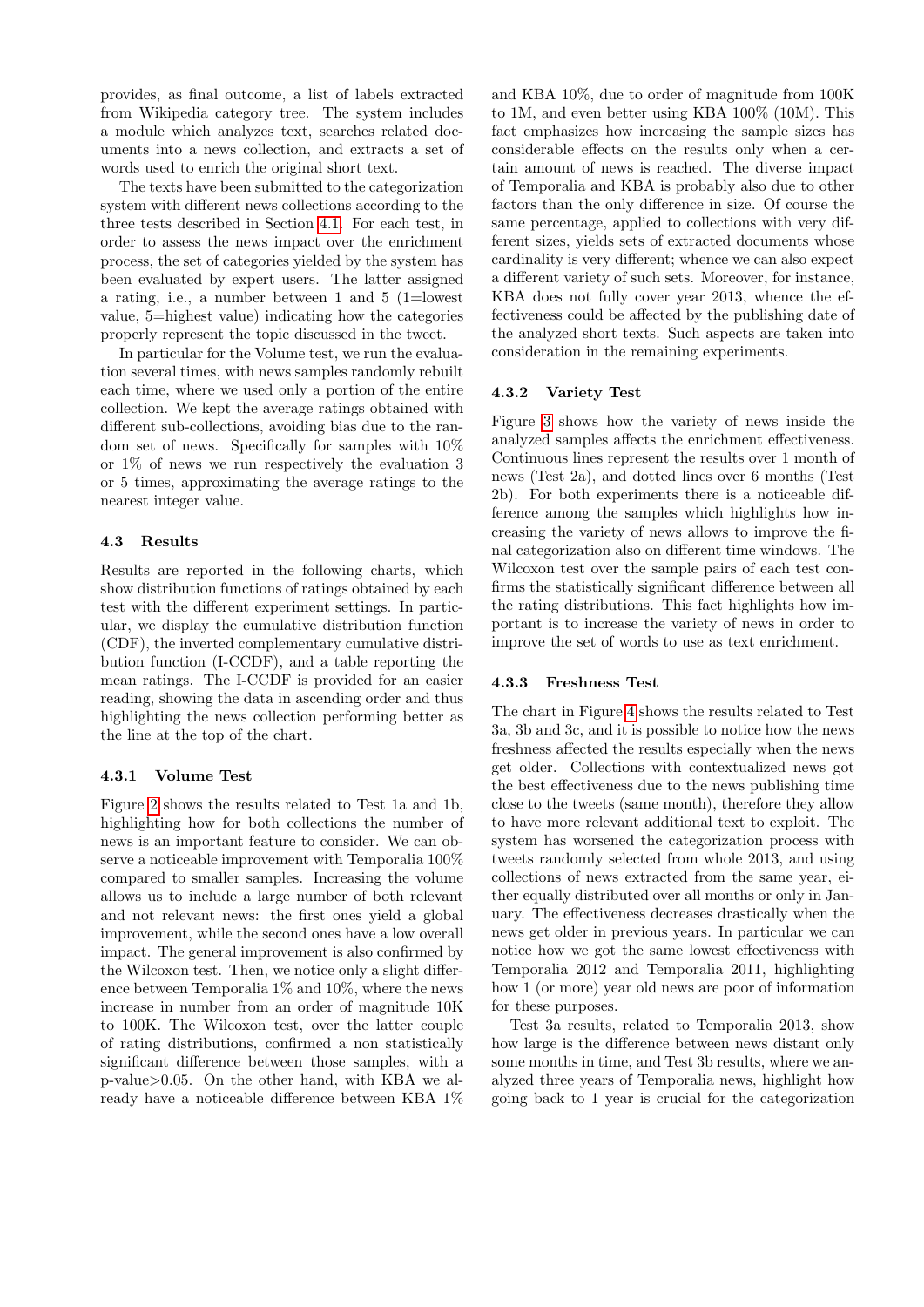provides, as final outcome, a list of labels extracted from Wikipedia category tree. The system includes a module which analyzes text, searches related documents into a news collection, and extracts a set of words used to enrich the original short text.

The texts have been submitted to the categorization system with different news collections according to the three tests described in Section [4.1.](#page-1-1) For each test, in order to assess the news impact over the enrichment process, the set of categories yielded by the system has been evaluated by expert users. The latter assigned a rating, i.e., a number between 1 and 5 (1=lowest value, 5=highest value) indicating how the categories properly represent the topic discussed in the tweet.

In particular for the Volume test, we run the evaluation several times, with news samples randomly rebuilt each time, where we used only a portion of the entire collection. We kept the average ratings obtained with different sub-collections, avoiding bias due to the random set of news. Specifically for samples with 10% or 1% of news we run respectively the evaluation 3 or 5 times, approximating the average ratings to the nearest integer value.

#### <span id="page-3-0"></span>4.3 Results

Results are reported in the following charts, which show distribution functions of ratings obtained by each test with the different experiment settings. In particular, we display the cumulative distribution function (CDF), the inverted complementary cumulative distribution function (I-CCDF), and a table reporting the mean ratings. The I-CCDF is provided for an easier reading, showing the data in ascending order and thus highlighting the news collection performing better as the line at the top of the chart.

#### 4.3.1 Volume Test

Figure [2](#page-4-0) shows the results related to Test 1a and 1b, highlighting how for both collections the number of news is an important feature to consider. We can observe a noticeable improvement with Temporalia 100% compared to smaller samples. Increasing the volume allows us to include a large number of both relevant and not relevant news: the first ones yield a global improvement, while the second ones have a low overall impact. The general improvement is also confirmed by the Wilcoxon test. Then, we notice only a slight difference between Temporalia 1% and 10%, where the news increase in number from an order of magnitude 10K to 100K. The Wilcoxon test, over the latter couple of rating distributions, confirmed a non statistically significant difference between those samples, with a p-value>0.05. On the other hand, with KBA we already have a noticeable difference between KBA 1%

and KBA 10%, due to order of magnitude from 100K to 1M, and even better using KBA 100% (10M). This fact emphasizes how increasing the sample sizes has considerable effects on the results only when a certain amount of news is reached. The diverse impact of Temporalia and KBA is probably also due to other factors than the only difference in size. Of course the same percentage, applied to collections with very different sizes, yields sets of extracted documents whose cardinality is very different; whence we can also expect a different variety of such sets. Moreover, for instance, KBA does not fully cover year 2013, whence the effectiveness could be affected by the publishing date of the analyzed short texts. Such aspects are taken into consideration in the remaining experiments.

#### 4.3.2 Variety Test

Figure [3](#page-4-1) shows how the variety of news inside the analyzed samples affects the enrichment effectiveness. Continuous lines represent the results over 1 month of news (Test 2a), and dotted lines over 6 months (Test 2b). For both experiments there is a noticeable difference among the samples which highlights how increasing the variety of news allows to improve the final categorization also on different time windows. The Wilcoxon test over the sample pairs of each test confirms the statistically significant difference between all the rating distributions. This fact highlights how important is to increase the variety of news in order to improve the set of words to use as text enrichment.

#### 4.3.3 Freshness Test

The chart in Figure [4](#page-5-17) shows the results related to Test 3a, 3b and 3c, and it is possible to notice how the news freshness affected the results especially when the news get older. Collections with contextualized news got the best effectiveness due to the news publishing time close to the tweets (same month), therefore they allow to have more relevant additional text to exploit. The system has worsened the categorization process with tweets randomly selected from whole 2013, and using collections of news extracted from the same year, either equally distributed over all months or only in January. The effectiveness decreases drastically when the news get older in previous years. In particular we can notice how we got the same lowest effectiveness with Temporalia 2012 and Temporalia 2011, highlighting how 1 (or more) year old news are poor of information for these purposes.

Test 3a results, related to Temporalia 2013, show how large is the difference between news distant only some months in time, and Test 3b results, where we analyzed three years of Temporalia news, highlight how going back to 1 year is crucial for the categorization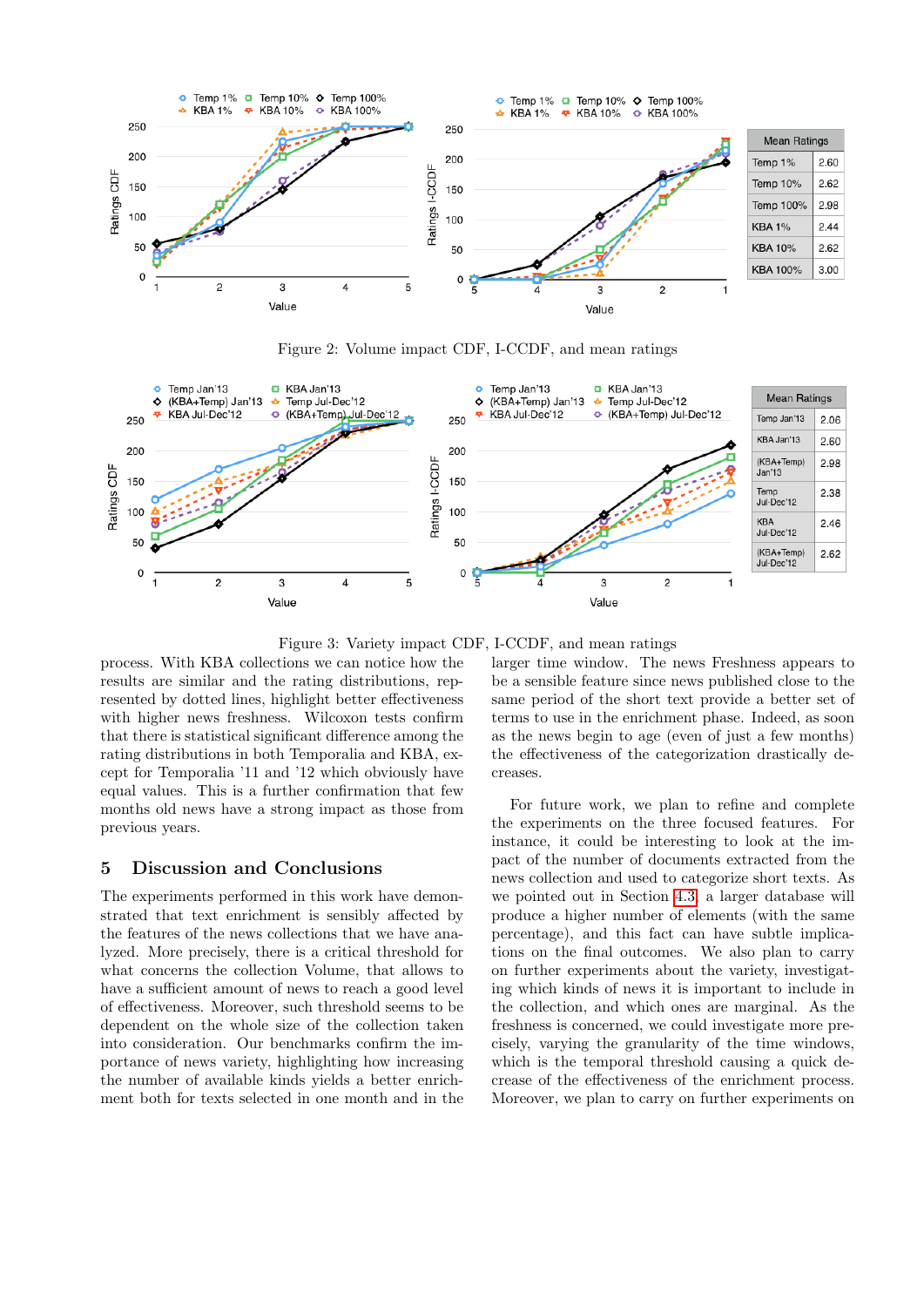

<span id="page-4-0"></span>Figure 2: Volume impact CDF, I-CCDF, and mean ratings



<span id="page-4-1"></span>Figure 3: Variety impact CDF, I-CCDF, and mean ratings

process. With KBA collections we can notice how the results are similar and the rating distributions, represented by dotted lines, highlight better effectiveness with higher news freshness. Wilcoxon tests confirm that there is statistical significant difference among the rating distributions in both Temporalia and KBA, except for Temporalia '11 and '12 which obviously have equal values. This is a further confirmation that few months old news have a strong impact as those from previous years.

#### 5 Discussion and Conclusions

The experiments performed in this work have demonstrated that text enrichment is sensibly affected by the features of the news collections that we have analyzed. More precisely, there is a critical threshold for what concerns the collection Volume, that allows to have a sufficient amount of news to reach a good level of effectiveness. Moreover, such threshold seems to be dependent on the whole size of the collection taken into consideration. Our benchmarks confirm the importance of news variety, highlighting how increasing the number of available kinds yields a better enrichment both for texts selected in one month and in the larger time window. The news Freshness appears to be a sensible feature since news published close to the same period of the short text provide a better set of terms to use in the enrichment phase. Indeed, as soon as the news begin to age (even of just a few months) the effectiveness of the categorization drastically decreases.

2.60

2.62

2.98

2.44

2.62

 $3.00$ 

For future work, we plan to refine and complete the experiments on the three focused features. For instance, it could be interesting to look at the impact of the number of documents extracted from the news collection and used to categorize short texts. As we pointed out in Section [4.3,](#page-3-0) a larger database will produce a higher number of elements (with the same percentage), and this fact can have subtle implications on the final outcomes. We also plan to carry on further experiments about the variety, investigating which kinds of news it is important to include in the collection, and which ones are marginal. As the freshness is concerned, we could investigate more precisely, varying the granularity of the time windows, which is the temporal threshold causing a quick decrease of the effectiveness of the enrichment process. Moreover, we plan to carry on further experiments on